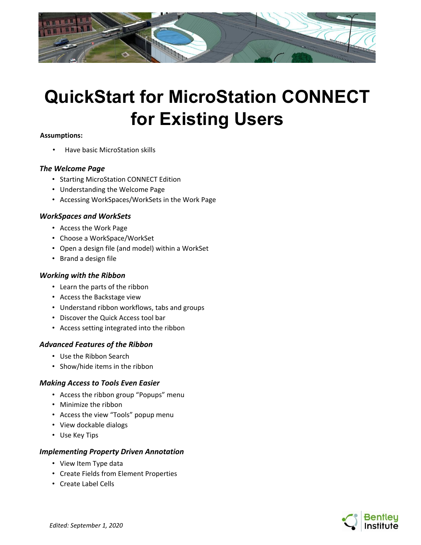

# **QuickStart for MicroStation CONNECT for Existing Users**

#### **Assumptions:**

• Have basic MicroStation skills

## *The Welcome Page*

- Starting MicroStation CONNECT Edition
- Understanding the Welcome Page
- Accessing WorkSpaces/WorkSets in the Work Page

## *WorkSpaces and WorkSets*

- Access the Work Page
- Choose a WorkSpace/WorkSet
- Open a design file (and model) within a WorkSet
- Brand a design file

# *Working with the Ribbon*

- Learn the parts of the ribbon
- Access the Backstage view
- Understand ribbon workflows, tabs and groups
- Discover the Quick Access tool bar
- Access setting integrated into the ribbon

# *Advanced Features of the Ribbon*

- Use the Ribbon Search
- Show/hide items in the ribbon

#### *Making Access to Tools Even Easier*

- Access the ribbon group "Popups" menu
- Minimize the ribbon
- Access the view "Tools" popup menu
- View dockable dialogs
- Use Key Tips

#### *Implementing Property Driven Annotation*

- View Item Type data
- Create Fields from Element Properties
- Create Label Cells

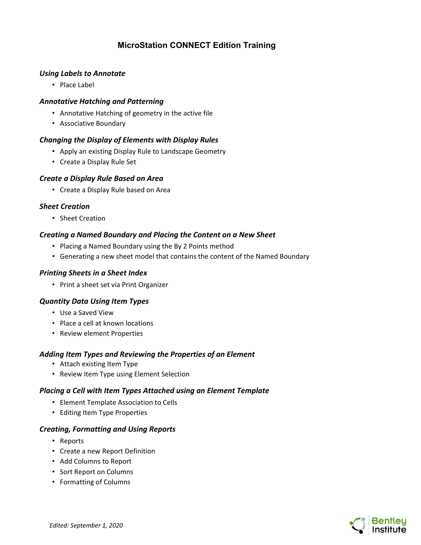# **MicroStation CONNECT Edition Training**

## *Using Labels to Annotate*

• Place Label

## *Annotative Hatching and Patterning*

- Annotative Hatching of geometry in the active file
- Associative Boundary

## *Changing the Display of Elements with Display Rules*

- Apply an existing Display Rule to Landscape Geometry
- Create a Display Rule Set

# *Create a Display Rule Based on Area*

• Create a Display Rule based on Area

## *Sheet Creation*

• Sheet Creation

# *Creating a Named Boundary and Placing the Content on a New Sheet*

- Placing a Named Boundary using the By 2 Points method
- Generating a new sheet model that contains the content of the Named Boundary

#### *Printing Sheets in a Sheet Index*

• Print a sheet set via Print Organizer

#### *Quantity Data Using Item Types*

- Use a Saved View
- Place a cell at known locations
- Review element Properties

#### *Adding Item Types and Reviewing the Properties of an Element*

- Attach existing Item Type
- Review Item Type using Element Selection

#### *Placing a Cell with Item Types Attached using an Element Template*

- Element Template Association to Cells
- Editing Item Type Properties

#### *Creating, Formatting and Using Reports*

- Reports
- Create a new Report Definition
- Add Columns to Report
- Sort Report on Columns
- Formatting of Columns